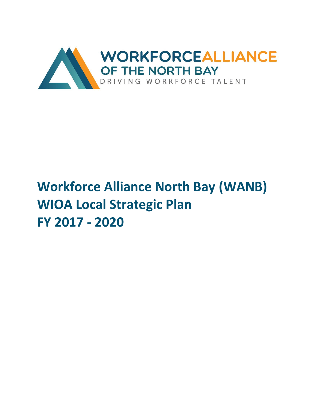

# **Workforce Alliance North Bay (WANB) WIOA Local Strategic Plan FY 2017 - 2020**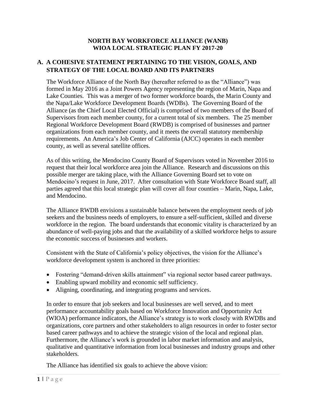#### **NORTH BAY WORKFORCE ALLIANCE (WANB) WIOA LOCAL STRATEGIC PLAN FY 2017-20**

## **A. A COHESIVE STATEMENT PERTAINING TO THE VISION, GOALS, AND STRATEGY OF THE LOCAL BOARD AND ITS PARTNERS**

The Workforce Alliance of the North Bay (hereafter referred to as the "Alliance") was formed in May 2016 as a Joint Powers Agency representing the region of Marin, Napa and Lake Counties. This was a merger of two former workforce boards, the Marin County and the Napa/Lake Workforce Development Boards (WDBs). The Governing Board of the Alliance (as the Chief Local Elected Official) is comprised of two members of the Board of Supervisors from each member county, for a current total of six members. The 25 member Regional Workforce Development Board (RWDB) is comprised of businesses and partner organizations from each member county, and it meets the overall statutory membership requirements. An America's Job Center of California (AJCC) operates in each member county, as well as several satellite offices.

As of this writing, the Mendocino County Board of Supervisors voted in November 2016 to request that their local workforce area join the Alliance. Research and discussions on this possible merger are taking place, with the Alliance Governing Board set to vote on Mendocino's request in June, 2017. After consultation with State Workforce Board staff, all parties agreed that this local strategic plan will cover all four counties – Marin, Napa, Lake, and Mendocino.

The Alliance RWDB envisions a sustainable balance between the employment needs of job seekers and the business needs of employers, to ensure a self-sufficient, skilled and diverse workforce in the region. The board understands that economic vitality is characterized by an abundance of well-paying jobs and that the availability of a skilled workforce helps to assure the economic success of businesses and workers.

Consistent with the State of California's policy objectives, the vision for the Alliance's workforce development system is anchored in three priorities:

- Fostering "demand-driven skills attainment" via regional sector based career pathways.
- Enabling upward mobility and economic self sufficiency.
- Aligning, coordinating, and integrating programs and services.

In order to ensure that job seekers and local businesses are well served, and to meet performance accountability goals based on Workforce Innovation and Opportunity Act (WIOA) performance indicators, the Alliance's strategy is to work closely with RWDBs and organizations, core partners and other stakeholders to align resources in order to foster sector based career pathways and to achieve the strategic vision of the local and regional plan. Furthermore, the Alliance's work is grounded in labor market information and analysis, qualitative and quantitative information from local businesses and industry groups and other stakeholders.

The Alliance has identified six goals to achieve the above vision: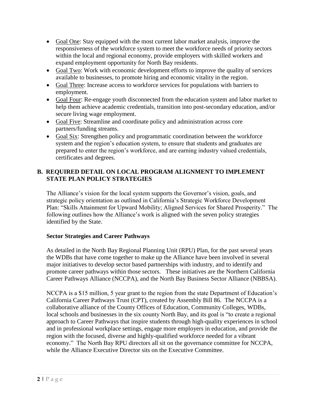- Goal One: Stay equipped with the most current labor market analysis, improve the responsiveness of the workforce system to meet the workforce needs of priority sectors within the local and regional economy, provide employers with skilled workers and expand employment opportunity for North Bay residents.
- Goal Two: Work with economic development efforts to improve the quality of services available to businesses, to promote hiring and economic vitality in the region.
- Goal Three: Increase access to workforce services for populations with barriers to employment.
- Goal Four: Re-engage youth disconnected from the education system and labor market to help them achieve academic credentials, transition into post-secondary education, and/or secure living wage employment.
- Goal Five: Streamline and coordinate policy and administration across core partners/funding streams.
- Goal Six: Strengthen policy and programmatic coordination between the workforce system and the region's education system, to ensure that students and graduates are prepared to enter the region's workforce, and are earning industry valued credentials, certificates and degrees.

# **B. REQUIRED DETAIL ON LOCAL PROGRAM ALIGNMENT TO IMPLEMENT STATE PLAN POLICY STRATEGIES**

The Alliance's vision for the local system supports the Governor's vision, goals, and strategic policy orientation as outlined in California's Strategic Workforce Development Plan: "Skills Attainment for Upward Mobility; Aligned Services for Shared Prosperity." The following outlines how the Alliance's work is aligned with the seven policy strategies identified by the State.

#### **Sector Strategies and Career Pathways**

As detailed in the North Bay Regional Planning Unit (RPU) Plan, for the past several years the WDBs that have come together to make up the Alliance have been involved in several major initiatives to develop sector based partnerships with industry, and to identify and promote career pathways within those sectors. These initiatives are the Northern California Career Pathways Alliance (NCCPA), and the North Bay Business Sector Alliance (NBBSA).

NCCPA is a \$15 million, 5 year grant to the region from the state Department of Education's California Career Pathways Trust (CPT), created by Assembly Bill 86. The NCCPA is a collaborative alliance of the County Offices of Education, Community Colleges, WDBs, local schools and businesses in the six county North Bay, and its goal is "to create a regional approach to Career Pathways that inspire students through high-quality experiences in school and in professional workplace settings, engage more employers in education, and provide the region with the focused, diverse and highly-qualified workforce needed for a vibrant economy." The North Bay RPU directors all sit on the governance committee for NCCPA, while the Alliance Executive Director sits on the Executive Committee.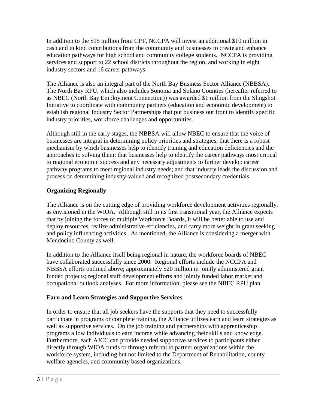In addition to the \$15 million from CPT, NCCPA will invest an additional \$10 million in cash and in kind contributions from the community and businesses to create and enhance education pathways for high school and community college students. NCCPA is providing services and support to 22 school districts throughout the region, and working in eight industry sectors and 16 career pathways.

The Alliance is also an integral part of the North Bay Business Sector Alliance (NBBSA). The North Bay RPU, which also includes Sonoma and Solano Counties (hereafter referred to as NBEC (North Bay Employment Connection)) was awarded \$1 million from the Slingshot Initiative to coordinate with community partners (education and economic development) to establish regional Industry Sector Partnerships that put business out front to identify specific industry priorities, workforce challenges and opportunities.

Although still in the early stages, the NBBSA will allow NBEC to ensure that the voice of businesses are integral in determining policy priorities and strategies; that there is a robust mechanism by which businesses help to identify training and education deficiencies and the approaches to solving them; that businesses help to identify the career pathways most critical to regional economic success and any necessary adjustments to further develop career pathway programs to meet regional industry needs; and that industry leads the discussion and process on determining industry-valued and recognized postsecondary credentials.

# **Organizing Regionally**

The Alliance is on the cutting edge of providing workforce development activities regionally, as envisioned in the WIOA. Although still in its first transitional year, the Alliance expects that by joining the forces of multiple Workforce Boards, it will be better able to use and deploy resources, realize administrative efficiencies, and carry more weight in grant seeking and policy influencing activities. As mentioned, the Alliance is considering a merger with Mendocino County as well.

In addition to the Alliance itself being regional in nature, the workforce boards of NBEC have collaborated successfully since 2000. Regional efforts include the NCCPA and NBBSA efforts outlined above; approximately \$20 million in jointly administered grant funded projects; regional staff development efforts and jointly funded labor market and occupational outlook analyses. For more information, please see the NBEC RPU plan.

# **Earn and Learn Strategies and Supportive Services**

In order to ensure that all job seekers have the supports that they need to successfully participate in programs or complete training, the Alliance utilizes earn and learn strategies as well as supportive services. On the job training and partnerships with apprenticeship programs allow individuals to earn income while advancing their skills and knowledge. Furthermore, each AJCC can provide needed supportive services to participants either directly through WIOA funds or through referral to partner organizations within the workforce system, including but not limited to the Department of Rehabilitation, county welfare agencies, and community based organizations.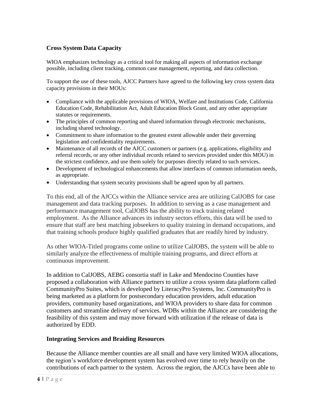## **Cross System Data Capacity**

WIOA emphasizes technology as a critical tool for making all aspects of information exchange possible, including client tracking, common case management, reporting, and data collection.

To support the use of these tools, AJCC Partners have agreed to the following key cross system data capacity provisions in their MOUs:

- Compliance with the applicable provisions of WIOA, Welfare and Institutions Code, California Education Code, Rehabilitation Act, Adult Education Block Grant, and any other appropriate statutes or requirements.
- The principles of common reporting and shared information through electronic mechanisms, including shared technology.
- Commitment to share information to the greatest extent allowable under their governing legislation and confidentiality requirements.
- Maintenance of all records of the AJCC customers or partners (e.g. applications, eligibility and referral records, or any other individual records related to services provided under this MOU) in the strictest confidence, and use them solely for purposes directly related to such services.
- Development of technological enhancements that allow interfaces of common information needs, as appropriate.
- Understanding that system security provisions shall be agreed upon by all partners.

To this end, all of the AJCCs within the Alliance service area are utilizing CalJOBS for case management and data tracking purposes. In addition to serving as a case management and performance management tool, CalJOBS has the ability to track training related employment. As the Alliance advances its industry sectors efforts, this data will be used to ensure that staff are best matching jobseekers to quality training in demand occupations, and that training schools produce highly qualified graduates that are readily hired by industry.

As other WIOA-Titled programs come online to utilize CalJOBS, the system will be able to similarly analyze the effectiveness of multiple training programs, and direct efforts at continuous improvement.

In addition to CalJOBS, AEBG consortia staff in Lake and Mendocino Counties have proposed a collaboration with Alliance partners to utilize a cross system data platform called CommunityPro Suites, which is developed by LiteracyPro Systems, Inc. CommunityPro is being marketed as a platform for postsecondary education providers, adult education providers, community based organizations, and WIOA providers to share data for common customers and streamline delivery of services. WDBs within the Alliance are considering the feasibility of this system and may move forward with utilization if the release of data is authorized by EDD.

#### **Integrating Services and Braiding Resources**

Because the Alliance member counties are all small and have very limited WIOA allocations, the region's workforce development system has evolved over time to rely heavily on the contributions of each partner to the system. Across the region, the AJCCs have been able to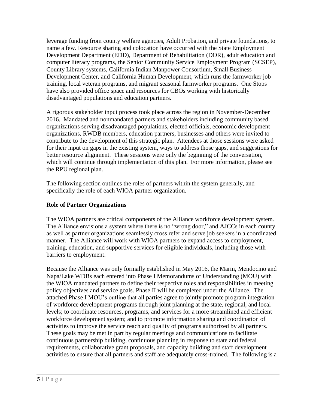leverage funding from county welfare agencies, Adult Probation, and private foundations, to name a few. Resource sharing and colocation have occurred with the State Employment Development Department (EDD), Department of Rehabilitation (DOR), adult education and computer literacy programs, the Senior Community Service Employment Program (SCSEP), County Library systems, California Indian Manpower Consortium, Small Business Development Center, and California Human Development, which runs the farmworker job training, local veteran programs, and migrant seasonal farmworker programs. One Stops have also provided office space and resources for CBOs working with historically disadvantaged populations and education partners.

A rigorous stakeholder input process took place across the region in November-December 2016. Mandated and nonmandated partners and stakeholders including community based organizations serving disadvantaged populations, elected officials, economic development organizations, RWDB members, education partners, businesses and others were invited to contribute to the development of this strategic plan. Attendees at those sessions were asked for their input on gaps in the existing system, ways to address those gaps, and suggestions for better resource alignment. These sessions were only the beginning of the conversation, which will continue through implementation of this plan. For more information, please see the RPU regional plan.

The following section outlines the roles of partners within the system generally, and specifically the role of each WIOA partner organization.

## **Role of Partner Organizations**

The WIOA partners are critical components of the Alliance workforce development system. The Alliance envisions a system where there is no "wrong door," and AJCCs in each county as well as partner organizations seamlessly cross refer and serve job seekers in a coordinated manner. The Alliance will work with WIOA partners to expand access to employment, training, education, and supportive services for eligible individuals, including those with barriers to employment.

Because the Alliance was only formally established in May 2016, the Marin, Mendocino and Napa/Lake WDBs each entered into Phase I Memorandums of Understanding (MOU) with the WIOA mandated partners to define their respective roles and responsibilities in meeting policy objectives and service goals. Phase II will be completed under the Alliance. The attached Phase I MOU's outline that all parties agree to jointly promote program integration of workforce development programs through joint planning at the state, regional, and local levels; to coordinate resources, programs, and services for a more streamlined and efficient workforce development system; and to promote information sharing and coordination of activities to improve the service reach and quality of programs authorized by all partners. These goals may be met in part by regular meetings and communications to facilitate continuous partnership building, continuous planning in response to state and federal requirements, collaborative grant proposals, and capacity building and staff development activities to ensure that all partners and staff are adequately cross-trained. The following is a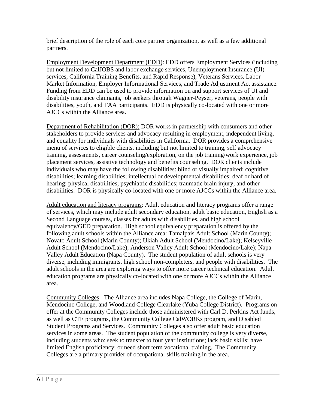brief description of the role of each core partner organization, as well as a few additional partners.

Employment Development Department (EDD): EDD offers Employment Services (including but not limited to CalJOBS and labor exchange services, Unemployment Insurance (UI) services, California Training Benefits, and Rapid Response), Veterans Services, Labor Market Information, Employer Informational Services, and Trade Adjustment Act assistance. Funding from EDD can be used to provide information on and support services of UI and disability insurance claimants, job seekers through Wagner-Peyser, veterans, people with disabilities, youth, and TAA participants. EDD is physically co-located with one or more AJCCs within the Alliance area.

Department of Rehabilitation (DOR): DOR works in partnership with consumers and other stakeholders to provide services and advocacy resulting in employment, independent living, and equality for individuals with disabilities in California. DOR provides a comprehensive menu of services to eligible clients, including but not limited to training, self advocacy training, assessments, career counseling/exploration, on the job training/work experience, job placement services, assistive technology and benefits counseling. DOR clients include individuals who may have the following disabilities: blind or visually impaired; cognitive disabilities; learning disabilities; intellectual or developmental disabilities; deaf or hard of hearing; physical disabilities; psychiatric disabilities; traumatic brain injury; and other disabilities. DOR is physically co-located with one or more AJCCs within the Alliance area.

Adult education and literacy programs: Adult education and literacy programs offer a range of services, which may include adult secondary education, adult basic education, English as a Second Language courses, classes for adults with disabilities, and high school equivalency/GED preparation. High school equivalency preparation is offered by the following adult schools within the Alliance area: Tamalpais Adult School (Marin County); Novato Adult School (Marin County); Ukiah Adult School (Mendocino/Lake); Kelseyville Adult School (Mendocino/Lake); Anderson Valley Adult School (Mendocino/Lake); Napa Valley Adult Education (Napa County). The student population of adult schools is very diverse, including immigrants, high school non-completers, and people with disabilities. The adult schools in the area are exploring ways to offer more career technical education. Adult education programs are physically co-located with one or more AJCCs within the Alliance area.

Community Colleges: The Alliance area includes Napa College, the College of Marin, Mendocino College, and Woodland College Clearlake (Yuba College District). Programs on offer at the Community Colleges include those administered with Carl D. Perkins Act funds, as well as CTE programs, the Community College CalWORKs program, and Disabled Student Programs and Services. Community Colleges also offer adult basic education services in some areas. The student population of the community college is very diverse, including students who: seek to transfer to four year institutions; lack basic skills; have limited English proficiency; or need short term vocational training. The Community Colleges are a primary provider of occupational skills training in the area.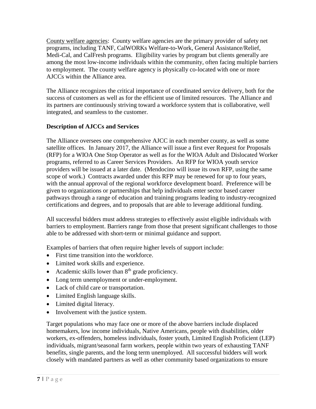County welfare agencies: County welfare agencies are the primary provider of safety net programs, including TANF, CalWORKs Welfare-to-Work, General Assistance/Relief, Medi-Cal, and CalFresh programs. Eligibility varies by program but clients generally are among the most low-income individuals within the community, often facing multiple barriers to employment. The county welfare agency is physically co-located with one or more AJCCs within the Alliance area.

The Alliance recognizes the critical importance of coordinated service delivery, both for the success of customers as well as for the efficient use of limited resources. The Alliance and its partners are continuously striving toward a workforce system that is collaborative, well integrated, and seamless to the customer.

# **Description of AJCCs and Services**

The Alliance oversees one comprehensive AJCC in each member county, as well as some satellite offices. In January 2017, the Alliance will issue a first ever Request for Proposals (RFP) for a WIOA One Stop Operator as well as for the WIOA Adult and Dislocated Worker programs, referred to as Career Services Providers. An RFP for WIOA youth service providers will be issued at a later date. (Mendocino will issue its own RFP, using the same scope of work.) Contracts awarded under this RFP may be renewed for up to four years, with the annual approval of the regional workforce development board. Preference will be given to organizations or partnerships that help individuals enter sector based career pathways through a range of education and training programs leading to industry-recognized certifications and degrees, and to proposals that are able to leverage additional funding.

All successful bidders must address strategies to effectively assist eligible individuals with barriers to employment. Barriers range from those that present significant challenges to those able to be addressed with short-term or minimal guidance and support.

Examples of barriers that often require higher levels of support include:

- First time transition into the workforce.
- Limited work skills and experience.
- Academic skills lower than  $8<sup>th</sup>$  grade proficiency.
- Long term unemployment or under-employment.
- Lack of child care or transportation.
- Limited English language skills.
- Limited digital literacy.
- Involvement with the justice system.

Target populations who may face one or more of the above barriers include displaced homemakers, low income individuals, Native Americans, people with disabilities, older workers, ex-offenders, homeless individuals, foster youth, Limited English Proficient (LEP) individuals, migrant/seasonal farm workers, people within two years of exhausting TANF benefits, single parents, and the long term unemployed. All successful bidders will work closely with mandated partners as well as other community based organizations to ensure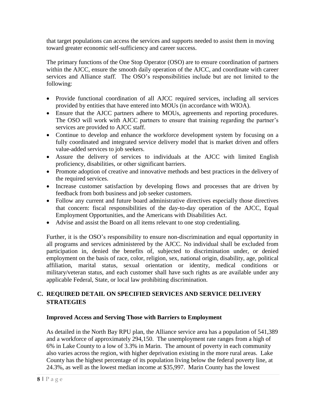that target populations can access the services and supports needed to assist them in moving toward greater economic self-sufficiency and career success.

The primary functions of the One Stop Operator (OSO) are to ensure coordination of partners within the AJCC, ensure the smooth daily operation of the AJCC, and coordinate with career services and Alliance staff. The OSO's responsibilities include but are not limited to the following:

- Provide functional coordination of all AJCC required services, including all services provided by entities that have entered into MOUs (in accordance with WIOA).
- Ensure that the AJCC partners adhere to MOUs, agreements and reporting procedures. The OSO will work with AJCC partners to ensure that training regarding the partner's services are provided to AJCC staff.
- Continue to develop and enhance the workforce development system by focusing on a fully coordinated and integrated service delivery model that is market driven and offers value-added services to job seekers.
- Assure the delivery of services to individuals at the AJCC with limited English proficiency, disabilities, or other significant barriers.
- Promote adoption of creative and innovative methods and best practices in the delivery of the required services.
- Increase customer satisfaction by developing flows and processes that are driven by feedback from both business and job seeker customers.
- Follow any current and future board administrative directives especially those directives that concern: fiscal responsibilities of the day-to-day operation of the AJCC, Equal Employment Opportunities, and the Americans with Disabilities Act.
- Advise and assist the Board on all items relevant to one stop credentialing.

Further, it is the OSO's responsibility to ensure non-discrimination and equal opportunity in all programs and services administered by the AJCC. No individual shall be excluded from participation in, denied the benefits of, subjected to discrimination under, or denied employment on the basis of race, color, religion, sex, national origin, disability, age, political affiliation, marital status, sexual orientation or identity, medical conditions or military/veteran status, and each customer shall have such rights as are available under any applicable Federal, State, or local law prohibiting discrimination.

# **C. REQUIRED DETAIL ON SPECIFIED SERVICES AND SERVICE DELIVERY STRATEGIES**

# **Improved Access and Serving Those with Barriers to Employment**

As detailed in the North Bay RPU plan, the Alliance service area has a population of 541,389 and a workforce of approximately 294,150. The unemployment rate ranges from a high of 6% in Lake County to a low of 3.3% in Marin. The amount of poverty in each community also varies across the region, with higher deprivation existing in the more rural areas. Lake County has the highest percentage of its population living below the federal poverty line, at 24.3%, as well as the lowest median income at \$35,997. Marin County has the lowest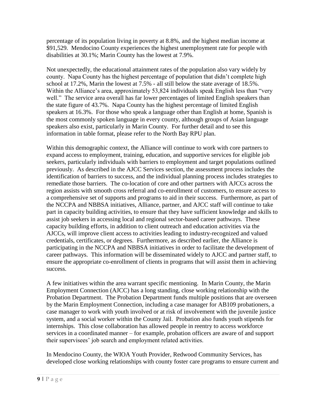percentage of its population living in poverty at 8.8%, and the highest median income at \$91,529. Mendocino County experiences the highest unemployment rate for people with disabilities at 30.1%; Marin County has the lowest at 7.9%.

Not unexpectedly, the educational attainment rates of the population also vary widely by county. Napa County has the highest percentage of population that didn't complete high school at 17.2%, Marin the lowest at 7.5% - all still below the state average of 18.5%. Within the Alliance's area, approximately 53,824 individuals speak English less than "very well." The service area overall has far lower percentages of limited English speakers than the state figure of 43.7%. Napa County has the highest percentage of limited English speakers at 16.3%. For those who speak a language other than English at home, Spanish is the most commonly spoken language in every county, although groups of Asian language speakers also exist, particularly in Marin County. For further detail and to see this information in table format, please refer to the North Bay RPU plan.

Within this demographic context, the Alliance will continue to work with core partners to expand access to employment, training, education, and supportive services for eligible job seekers, particularly individuals with barriers to employment and target populations outlined previously. As described in the AJCC Services section, the assessment process includes the identification of barriers to success, and the individual planning process includes strategies to remediate those barriers. The co-location of core and other partners with AJCCs across the region assists with smooth cross referral and co-enrollment of customers, to ensure access to a comprehensive set of supports and programs to aid in their success. Furthermore, as part of the NCCPA and NBBSA initiatives, Alliance, partner, and AJCC staff will continue to take part in capacity building activities, to ensure that they have sufficient knowledge and skills to assist job seekers in accessing local and regional sector-based career pathways. These capacity building efforts, in addition to client outreach and education activities via the AJCCs, will improve client access to activities leading to industry-recognized and valued credentials, certificates, or degrees. Furthermore, as described earlier, the Alliance is participating in the NCCPA and NBBSA initiatives in order to facilitate the development of career pathways. This information will be disseminated widely to AJCC and partner staff, to ensure the appropriate co-enrollment of clients in programs that will assist them in achieving success.

A few initiatives within the area warrant specific mentioning. In Marin County, the Marin Employment Connection (AJCC) has a long standing, close working relationship with the Probation Department. The Probation Department funds multiple positions that are overseen by the Marin Employment Connection, including a case manager for AB109 probationers, a case manager to work with youth involved or at risk of involvement with the juvenile justice system, and a social worker within the County Jail. Probation also funds youth stipends for internships. This close collaboration has allowed people in reentry to access workforce services in a coordinated manner – for example, probation officers are aware of and support their supervisees' job search and employment related activities.

In Mendocino County, the WIOA Youth Provider, Redwood Community Services, has developed close working relationships with county foster care programs to ensure current and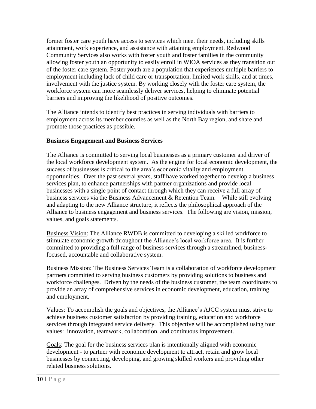former foster care youth have access to services which meet their needs, including skills attainment, work experience, and assistance with attaining employment. Redwood Community Services also works with foster youth and foster families in the community allowing foster youth an opportunity to easily enroll in WIOA services as they transition out of the foster care system. Foster youth are a population that experiences multiple barriers to employment including lack of child care or transportation, limited work skills, and at times, involvement with the justice system. By working closely with the foster care system, the workforce system can more seamlessly deliver services, helping to eliminate potential barriers and improving the likelihood of positive outcomes.

The Alliance intends to identify best practices in serving individuals with barriers to employment across its member counties as well as the North Bay region, and share and promote those practices as possible.

## **Business Engagement and Business Services**

The Alliance is committed to serving local businesses as a primary customer and driver of the local workforce development system. As the engine for local economic development, the success of businesses is critical to the area's economic vitality and employment opportunities. Over the past several years, staff have worked together to develop a business services plan, to enhance partnerships with partner organizations and provide local businesses with a single point of contact through which they can receive a full array of business services via the Business Advancement & Retention Team. While still evolving and adapting to the new Alliance structure, it reflects the philosophical approach of the Alliance to business engagement and business services. The following are vision, mission, values, and goals statements.

Business Vision: The Alliance RWDB is committed to developing a skilled workforce to stimulate economic growth throughout the Alliance's local workforce area. It is further committed to providing a full range of business services through a streamlined, businessfocused, accountable and collaborative system.

Business Mission: The Business Services Team is a collaboration of workforce development partners committed to serving business customers by providing solutions to business and workforce challenges. Driven by the needs of the business customer, the team coordinates to provide an array of comprehensive services in economic development, education, training and employment.

Values: To accomplish the goals and objectives, the Alliance's AJCC system must strive to achieve business customer satisfaction by providing training, education and workforce services through integrated service delivery. This objective will be accomplished using four values: innovation, teamwork, collaboration, and continuous improvement.

Goals: The goal for the business services plan is intentionally aligned with economic development - to partner with economic development to attract, retain and grow local businesses by connecting, developing, and growing skilled workers and providing other related business solutions.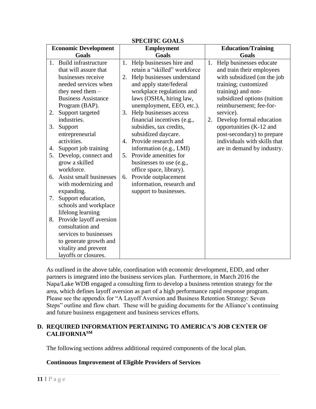| <b>Economic Development</b> |                            |    | oi leurie gombo<br><b>Employment</b> | <b>Education/Training</b> |                              |  |
|-----------------------------|----------------------------|----|--------------------------------------|---------------------------|------------------------------|--|
| Goals                       |                            |    | <b>Goals</b>                         | <b>Goals</b>              |                              |  |
| 1.                          | Build infrastructure       | 1. | Help businesses hire and             | 1.                        | Help businesses educate      |  |
|                             | that will assure that      |    | retain a "skilled" workforce         |                           | and train their employees    |  |
|                             | businesses receive         | 2. | Help businesses understand           |                           | with subsidized (on the job  |  |
|                             | needed services when       |    | and apply state/federal              |                           | training; customized         |  |
|                             | they need them $-$         |    | workplace regulations and            |                           | training) and non-           |  |
|                             | <b>Business Assistance</b> |    | laws (OSHA, hiring law,              |                           | subsidized options (tuition  |  |
|                             | Program (BAP).             |    | unemployment, EEO, etc.).            |                           | reimbursement; fee-for-      |  |
| 2.                          | Support targeted           | 3. | Help businesses access               |                           | service).                    |  |
|                             | industries.                |    | financial incentives (e.g.,          | 2.                        | Develop formal education     |  |
| 3.                          | Support                    |    | subsidies, tax credits,              |                           | opportunities (K-12 and      |  |
|                             | entrepreneurial            |    | subsidized daycare.                  |                           | post-secondary) to prepare   |  |
|                             | activities.                | 4. | Provide research and                 |                           | individuals with skills that |  |
| 4.                          | Support job training       |    | information (e.g., LMI)              |                           | are in demand by industry.   |  |
| 5.                          | Develop, connect and       | 5. | Provide amenities for                |                           |                              |  |
|                             | grow a skilled             |    | businesses to use (e.g.,             |                           |                              |  |
|                             | workforce.                 |    | office space, library).              |                           |                              |  |
| 6.                          | Assist small businesses    | 6. | Provide outplacement                 |                           |                              |  |
|                             | with modernizing and       |    | information, research and            |                           |                              |  |
|                             | expanding.                 |    | support to businesses.               |                           |                              |  |
| 7.                          | Support education,         |    |                                      |                           |                              |  |
|                             | schools and workplace      |    |                                      |                           |                              |  |
|                             | lifelong learning          |    |                                      |                           |                              |  |
| 8.                          | Provide layoff aversion    |    |                                      |                           |                              |  |
|                             | consultation and           |    |                                      |                           |                              |  |
|                             | services to businesses     |    |                                      |                           |                              |  |
|                             | to generate growth and     |    |                                      |                           |                              |  |
|                             | vitality and prevent       |    |                                      |                           |                              |  |
|                             | layoffs or closures.       |    |                                      |                           |                              |  |

## **SPECIFIC GOALS**

As outlined in the above table, coordination with economic development, EDD, and other partners is integrated into the business services plan. Furthermore, in March 2016 the Napa/Lake WDB engaged a consulting firm to develop a business retention strategy for the area, which defines layoff aversion as part of a high performance rapid response program. Please see the appendix for "A Layoff Aversion and Business Retention Strategy: Seven Steps" outline and flow chart. These will be guiding documents for the Alliance's continuing and future business engagement and business services efforts.

#### **D. REQUIRED INFORMATION PERTAINING TO AMERICA'S JOB CENTER OF CALIFORNIASM**

The following sections address additional required components of the local plan.

#### **Continuous Improvement of Eligible Providers of Services**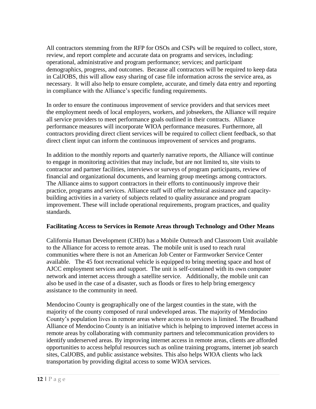All contractors stemming from the RFP for OSOs and CSPs will be required to collect, store, review, and report complete and accurate data on programs and services, including: operational, administrative and program performance; services; and participant demographics, progress, and outcomes. Because all contractors will be required to keep data in CalJOBS, this will allow easy sharing of case file information across the service area, as necessary. It will also help to ensure complete, accurate, and timely data entry and reporting in compliance with the Alliance's specific funding requirements.

In order to ensure the continuous improvement of service providers and that services meet the employment needs of local employers, workers, and jobseekers, the Alliance will require all service providers to meet performance goals outlined in their contracts. Alliance performance measures will incorporate WIOA performance measures. Furthermore, all contractors providing direct client services will be required to collect client feedback, so that direct client input can inform the continuous improvement of services and programs.

In addition to the monthly reports and quarterly narrative reports, the Alliance will continue to engage in monitoring activities that may include, but are not limited to, site visits to contractor and partner facilities, interviews or surveys of program participants, review of financial and organizational documents, and learning group meetings among contractors. The Alliance aims to support contractors in their efforts to continuously improve their practice, programs and services. Alliance staff will offer technical assistance and capacitybuilding activities in a variety of subjects related to quality assurance and program improvement. These will include operational requirements, program practices, and quality standards.

#### **Facilitating Access to Services in Remote Areas through Technology and Other Means**

California Human Development (CHD) has a Mobile Outreach and Classroom Unit available to the Alliance for access to remote areas. The mobile unit is used to reach rural communities where there is not an American Job Center or Farmworker Service Center available. The 45 foot recreational vehicle is equipped to bring meeting space and host of AJCC employment services and support. The unit is self-contained with its own computer network and internet access through a satellite service. Additionally, the mobile unit can also be used in the case of a disaster, such as floods or fires to help bring emergency assistance to the community in need.

Mendocino County is geographically one of the largest counties in the state, with the majority of the county composed of rural undeveloped areas. The majority of Mendocino County's population lives in remote areas where access to services is limited. The Broadband Alliance of Mendocino County is an initiative which is helping to improved internet access in remote areas by collaborating with community partners and telecommunication providers to identify underserved areas. By improving internet access in remote areas, clients are afforded opportunities to access helpful resources such as online training programs, internet job search sites, CalJOBS, and public assistance websites. This also helps WIOA clients who lack transportation by providing digital access to some WIOA services.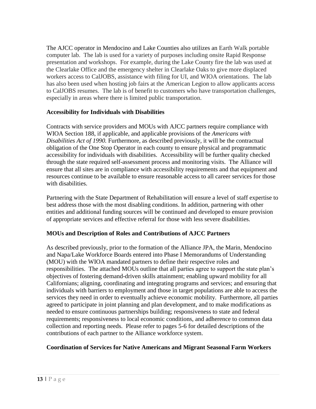The AJCC operator in Mendocino and Lake Counties also utilizes an Earth Walk portable computer lab. The lab is used for a variety of purposes including onsite Rapid Response presentation and workshops. For example, during the Lake County fire the lab was used at the Clearlake Office and the emergency shelter in Clearlake Oaks to give more displaced workers access to CalJOBS, assistance with filing for UI, and WIOA orientations. The lab has also been used when hosting job fairs at the American Legion to allow applicants access to CalJOBS resumes. The lab is of benefit to customers who have transportation challenges, especially in areas where there is limited public transportation.

#### **Accessibility for Individuals with Disabilities**

Contracts with service providers and MOUs with AJCC partners require compliance with WIOA Section 188, if applicable, and applicable provisions of the *Americans with Disabilities Act of 1990.* Furthermore, as described previously, it will be the contractual obligation of the One Stop Operator in each county to ensure physical and programmatic accessibility for individuals with disabilities. Accessibility will be further quality checked through the state required self-assessment process and monitoring visits. The Alliance will ensure that all sites are in compliance with accessibility requirements and that equipment and resources continue to be available to ensure reasonable access to all career services for those with disabilities.

Partnering with the State Department of Rehabilitation will ensure a level of staff expertise to best address those with the most disabling conditions. In addition, partnering with other entities and additional funding sources will be continued and developed to ensure provision of appropriate services and effective referral for those with less severe disabilities.

#### **MOUs and Description of Roles and Contributions of AJCC Partners**

As described previously, prior to the formation of the Alliance JPA, the Marin, Mendocino and Napa/Lake Workforce Boards entered into Phase I Memorandums of Understanding (MOU) with the WIOA mandated partners to define their respective roles and responsibilities. The attached MOUs outline that all parties agree to support the state plan's objectives of fostering demand-driven skills attainment; enabling upward mobility for all Californians; aligning, coordinating and integrating programs and services; and ensuring that individuals with barriers to employment and those in target populations are able to access the services they need in order to eventually achieve economic mobility. Furthermore, all parties agreed to participate in joint planning and plan development, and to make modifications as needed to ensure continuous partnerships building; responsiveness to state and federal requirements; responsiveness to local economic conditions, and adherence to common data collection and reporting needs. Please refer to pages 5-6 for detailed descriptions of the contributions of each partner to the Alliance workforce system.

# **Coordination of Services for Native Americans and Migrant Seasonal Farm Workers**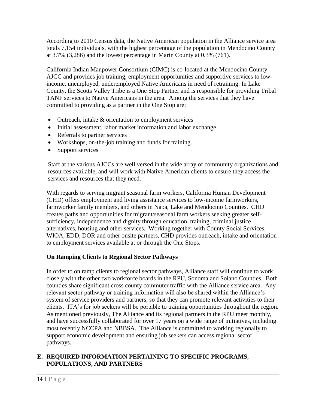According to 2010 Census data, the Native American population in the Alliance service area totals 7,154 individuals, with the highest percentage of the population in Mendocino County at 3.7% (3,286) and the lowest percentage in Marin County at 0.3% (761).

California Indian Manpower Consortium (CIMC) is co-located at the Mendocino County AJCC and provides job training, employment opportunities and supportive services to lowincome, unemployed, underemployed Native Americans in need of retraining. In Lake County, the Scotts Valley Tribe is a One Stop Partner and is responsible for providing Tribal TANF services to Native Americans in the area. Among the services that they have committed to providing as a partner in the One Stop are:

- Outreach, intake & orientation to employment services
- Initial assessment, labor market information and labor exchange
- Referrals to partner services
- Workshops, on-the-job training and funds for training.
- Support services

Staff at the various AJCCs are well versed in the wide array of community organizations and resources available, and will work with Native American clients to ensure they access the services and resources that they need.

With regards to serving migrant seasonal farm workers, California Human Development (CHD) offers employment and living assistance services to low-income farmworkers, farmworker family members, and others in Napa, Lake and Mendocino Counties. CHD creates paths and opportunities for migrant/seasonal farm workers seeking greater selfsufficiency, independence and dignity through education, training, criminal justice alternatives, housing and other services. Working together with County Social Services, WIOA, EDD, DOR and other onsite partners, CHD provides outreach, intake and orientation to employment services available at or through the One Stops.

# **On Ramping Clients to Regional Sector Pathways**

In order to on ramp clients to regional sector pathways, Alliance staff will continue to work closely with the other two workforce boards in the RPU, Sonoma and Solano Counties. Both counties share significant cross county commuter traffic with the Alliance service area. Any relevant sector pathway or training information will also be shared within the Alliance's system of service providers and partners, so that they can promote relevant activities to their clients. ITA's for job seekers will be portable to training opportunities throughout the region. As mentioned previously, The Alliance and its regional partners in the RPU meet monthly, and have successfully collaborated for over 17 years on a wide range of initiatives, including most recently NCCPA and NBBSA. The Alliance is committed to working regionally to support economic development and ensuring job seekers can access regional sector pathways.

# **E. REQUIRED INFORMATION PERTAINING TO SPECIFIC PROGRAMS, POPULATIONS, AND PARTNERS**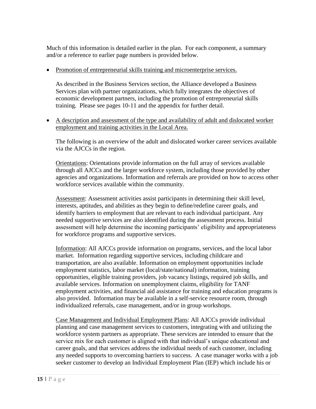Much of this information is detailed earlier in the plan. For each component, a summary and/or a reference to earlier page numbers is provided below.

• Promotion of entrepreneurial skills training and microenterprise services.

As described in the Business Services section, the Alliance developed a Business Services plan with partner organizations, which fully integrates the objectives of economic development partners, including the promotion of entrepreneurial skills training. Please see pages 10-11 and the appendix for further detail.

• A description and assessment of the type and availability of adult and dislocated worker employment and training activities in the Local Area.

The following is an overview of the adult and dislocated worker career services available via the AJCCs in the region.

Orientations: Orientations provide information on the full array of services available through all AJCCs and the larger workforce system, including those provided by other agencies and organizations. Information and referrals are provided on how to access other workforce services available within the community.

Assessment: Assessment activities assist participants in determining their skill level, interests, aptitudes, and abilities as they begin to define/redefine career goals, and identify barriers to employment that are relevant to each individual participant. Any needed supportive services are also identified during the assessment process. Initial assessment will help determine the incoming participants' eligibility and appropriateness for workforce programs and supportive services.

Information: All AJCCs provide information on programs, services, and the local labor market. Information regarding supportive services, including childcare and transportation, are also available. Information on employment opportunities include employment statistics, labor market (local/state/national) information, training opportunities, eligible training providers, job vacancy listings, required job skills, and available services. Information on unemployment claims, eligibility for TANF employment activities, and financial aid assistance for training and education programs is also provided. Information may be available in a self-service resource room, through individualized referrals, case management, and/or in group workshops.

Case Management and Individual Employment Plans: All AJCCs provide individual planning and case management services to customers, integrating with and utilizing the workforce system partners as appropriate. These services are intended to ensure that the service mix for each customer is aligned with that individual's unique educational and career goals, and that services address the individual needs of each customer, including any needed supports to overcoming barriers to success. A case manager works with a job seeker customer to develop an Individual Employment Plan (IEP) which include his or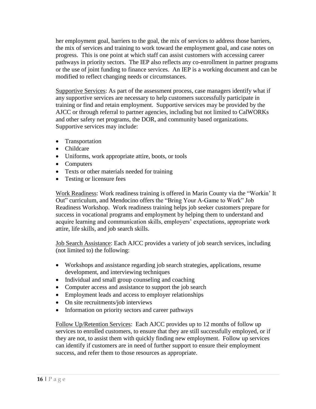her employment goal, barriers to the goal, the mix of services to address those barriers, the mix of services and training to work toward the employment goal, and case notes on progress. This is one point at which staff can assist customers with accessing career pathways in priority sectors. The IEP also reflects any co-enrollment in partner programs or the use of joint funding to finance services. An IEP is a working document and can be modified to reflect changing needs or circumstances.

Supportive Services: As part of the assessment process, case managers identify what if any supportive services are necessary to help customers successfully participate in training or find and retain employment. Supportive services may be provided by the AJCC or through referral to partner agencies, including but not limited to CalWORKs and other safety net programs, the DOR, and community based organizations. Supportive services may include:

- Transportation
- Childcare
- Uniforms, work appropriate attire, boots, or tools
- Computers
- Texts or other materials needed for training
- Testing or licensure fees

Work Readiness: Work readiness training is offered in Marin County via the "Workin' It Out" curriculum, and Mendocino offers the "Bring Your A-Game to Work" Job Readiness Workshop. Work readiness training helps job seeker customers prepare for success in vocational programs and employment by helping them to understand and acquire learning and communication skills, employers' expectations, appropriate work attire, life skills, and job search skills.

Job Search Assistance: Each AJCC provides a variety of job search services, including (not limited to) the following:

- Workshops and assistance regarding job search strategies, applications, resume development, and interviewing techniques
- Individual and small group counseling and coaching
- Computer access and assistance to support the job search
- Employment leads and access to employer relationships
- On site recruitments/job interviews
- Information on priority sectors and career pathways

Follow Up/Retention Services: Each AJCC provides up to 12 months of follow up services to enrolled customers, to ensure that they are still successfully employed, or if they are not, to assist them with quickly finding new employment. Follow up services can identify if customers are in need of further support to ensure their employment success, and refer them to those resources as appropriate.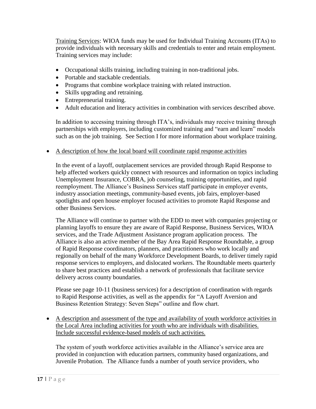Training Services: WIOA funds may be used for Individual Training Accounts (ITAs) to provide individuals with necessary skills and credentials to enter and retain employment. Training services may include:

- Occupational skills training, including training in non-traditional jobs.
- Portable and stackable credentials.
- Programs that combine workplace training with related instruction.
- Skills upgrading and retraining.
- Entrepreneurial training.
- Adult education and literacy activities in combination with services described above.

In addition to accessing training through ITA's, individuals may receive training through partnerships with employers, including customized training and "earn and learn" models such as on the job training. See Section I for more information about workplace training.

#### • A description of how the local board will coordinate rapid response activities

In the event of a layoff, outplacement services are provided through Rapid Response to help affected workers quickly connect with resources and information on topics including Unemployment Insurance, COBRA, job counseling, training opportunities, and rapid reemployment. The Alliance's Business Services staff participate in employer events, industry association meetings, community-based events, job fairs, employer-based spotlights and open house employer focused activities to promote Rapid Response and other Business Services.

The Alliance will continue to partner with the EDD to meet with companies projecting or planning layoffs to ensure they are aware of Rapid Response, Business Services, WIOA services, and the Trade Adjustment Assistance program application process. The Alliance is also an active member of the Bay Area Rapid Response Roundtable, a group of Rapid Response coordinators, planners, and practitioners who work locally and regionally on behalf of the many Workforce Development Boards, to deliver timely rapid response services to employers, and dislocated workers. The Roundtable meets quarterly to share best practices and establish a network of professionals that facilitate service delivery across county boundaries.

Please see page 10-11 (business services) for a description of coordination with regards to Rapid Response activities, as well as the appendix for "A Layoff Aversion and Business Retention Strategy: Seven Steps" outline and flow chart.

• A description and assessment of the type and availability of youth workforce activities in the Local Area including activities for youth who are individuals with disabilities. Include successful evidence-based models of such activities.

The system of youth workforce activities available in the Alliance's service area are provided in conjunction with education partners, community based organizations, and Juvenile Probation. The Alliance funds a number of youth service providers, who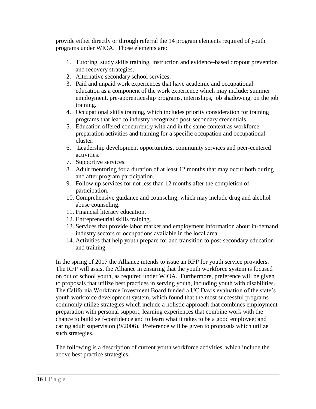provide either directly or through referral the 14 program elements required of youth programs under WIOA. Those elements are:

- 1. Tutoring, study skills training, instruction and evidence-based dropout prevention and recovery strategies.
- 2. Alternative secondary school services.
- 3. Paid and unpaid work experiences that have academic and occupational education as a component of the work experience which may include: summer employment, pre-apprenticeship programs, internships, job shadowing, on the job training.
- 4. Occupational skills training, which includes priority consideration for training programs that lead to industry recognized post-secondary credentials.
- 5. Education offered concurrently with and in the same context as workforce preparation activities and training for a specific occupation and occupational cluster.
- 6. Leadership development opportunities, community services and peer-centered activities.
- 7. Supportive services.
- 8. Adult mentoring for a duration of at least 12 months that may occur both during and after program participation.
- 9. Follow up services for not less than 12 months after the completion of participation.
- 10. Comprehensive guidance and counseling, which may include drug and alcohol abuse counseling.
- 11. Financial literacy education.
- 12. Entrepreneurial skills training.
- 13. Services that provide labor market and employment information about in-demand industry sectors or occupations available in the local area.
- 14. Activities that help youth prepare for and transition to post-secondary education and training.

In the spring of 2017 the Alliance intends to issue an RFP for youth service providers. The RFP will assist the Alliance in ensuring that the youth workforce system is focused on out of school youth, as required under WIOA. Furthermore, preference will be given to proposals that utilize best practices in serving youth, including youth with disabilities. The California Workforce Investment Board funded a UC Davis evaluation of the state's youth workforce development system, which found that the most successful programs commonly utilize strategies which include a holistic approach that combines employment preparation with personal support; learning experiences that combine work with the chance to build self-confidence and to learn what it takes to be a good employee; and caring adult supervision (9/2006). Preference will be given to proposals which utilize such strategies.

The following is a description of current youth workforce activities, which include the above best practice strategies.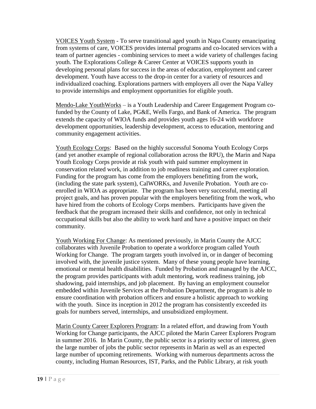VOICES Youth System - To serve transitional aged youth in Napa County emancipating from systems of care, VOICES provides internal programs and co-located services with a team of partner agencies - combining services to meet a wide variety of challenges facing youth. The Explorations College & Career Center at VOICES supports youth in developing personal plans for success in the areas of education, employment and career development. Youth have access to the drop-in center for a variety of resources and individualized coaching. Explorations partners with employers all over the Napa Valley to provide internships and employment opportunities for eligible youth.

Mendo-Lake YouthWorks – is a Youth Leadership and Career Engagement Program cofunded by the County of Lake, PG&E, Wells Fargo, and Bank of America. The program extends the capacity of WIOA funds and provides youth ages 16-24 with workforce development opportunities, leadership development, access to education, mentoring and community engagement activities.

Youth Ecology Corps: Based on the highly successful Sonoma Youth Ecology Corps (and yet another example of regional collaboration across the RPU), the Marin and Napa Youth Ecology Corps provide at risk youth with paid summer employment in conservation related work, in addition to job readiness training and career exploration. Funding for the program has come from the employers benefitting from the work, (including the state park system), CalWORKs, and Juvenile Probation. Youth are coenrolled in WIOA as appropriate. The program has been very successful, meeting all project goals, and has proven popular with the employers benefiting from the work, who have hired from the cohorts of Ecology Corps members. Participants have given the feedback that the program increased their skills and confidence, not only in technical occupational skills but also the ability to work hard and have a positive impact on their community.

Youth Working For Change: As mentioned previously, in Marin County the AJCC collaborates with Juvenile Probation to operate a workforce program called Youth Working for Change. The program targets youth involved in, or in danger of becoming involved with, the juvenile justice system. Many of these young people have learning, emotional or mental health disabilities. Funded by Probation and managed by the AJCC, the program provides participants with adult mentoring, work readiness training, job shadowing, paid internships, and job placement. By having an employment counselor embedded within Juvenile Services at the Probation Department, the program is able to ensure coordination with probation officers and ensure a holistic approach to working with the youth. Since its inception in 2012 the program has consistently exceeded its goals for numbers served, internships, and unsubsidized employment.

Marin County Career Explorers Program: In a related effort, and drawing from Youth Working for Change participants, the AJCC piloted the Marin Career Explorers Program in summer 2016. In Marin County, the public sector is a priority sector of interest, given the large number of jobs the public sector represents in Marin as well as an expected large number of upcoming retirements. Working with numerous departments across the county, including Human Resources, IST, Parks, and the Public Library, at risk youth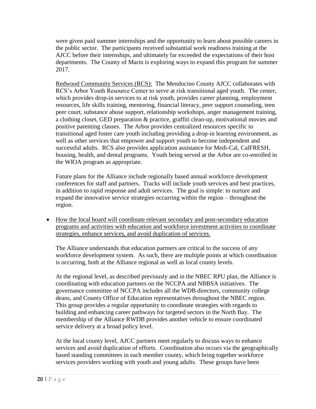were given paid summer internships and the opportunity to learn about possible careers in the public sector. The participants received substantial work readiness training at the AJCC before their internships, and ultimately far exceeded the expectations of their host departments. The County of Marin is exploring ways to expand this program for summer 2017.

Redwood Community Services (RCS): The Mendocino County AJCC collaborates with RCS's Arbor Youth Resource Center to serve at risk transitional aged youth. The center, which provides drop-in services to at risk youth, provides career planning, employment resources, life skills training, mentoring, financial literacy, peer support counseling, teen peer court, substance abuse support, relationship workshops, anger management training, a clothing closet, GED preparation & practice, graffiti clean-up, motivational movies and positive parenting classes. The Arbor provides centralized resources specific to transitional aged foster care youth including providing a drop-in learning environment, as well as other services that empower and support youth to become independent and successful adults. RCS also provides application assistance for Medi-Cal, CalFRESH, housing, health, and dental programs. Youth being served at the Arbor are co-enrolled in the WIOA program as appropriate.

Future plans for the Alliance include regionally based annual workforce development conferences for staff and partners. Tracks will include youth services and best practices, in addition to rapid response and adult services. The goal is simple: to nurture and expand the innovative service strategies occurring within the region – throughout the region.

• How the local board will coordinate relevant secondary and post-secondary education programs and activities with education and workforce investment activities to coordinate strategies, enhance services, and avoid duplication of services.

The Alliance understands that education partners are critical to the success of any workforce development system. As such, there are multiple points at which coordination is occurring, both at the Alliance regional as well as local county levels.

At the regional level, as described previously and in the NBEC RPU plan, the Alliance is coordinating with education partners on the NCCPA and NBBSA initiatives. The governance committee of NCCPA includes all the WDB directors, community college deans, and County Office of Education representatives throughout the NBEC region. This group provides a regular opportunity to coordinate strategies with regards to building and enhancing career pathways for targeted sectors in the North Bay. The membership of the Alliance RWDB provides another vehicle to ensure coordinated service delivery at a broad policy level.

At the local county level, AJCC partners meet regularly to discuss ways to enhance services and avoid duplication of efforts. Coordination also occurs via the geographically based standing committees in each member county, which bring together workforce services providers working with youth and young adults. These groups have been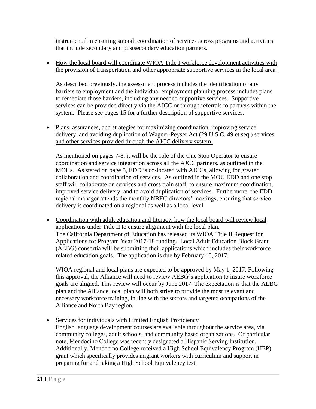instrumental in ensuring smooth coordination of services across programs and activities that include secondary and postsecondary education partners.

• How the local board will coordinate WIOA Title I workforce development activities with the provision of transportation and other appropriate supportive services in the local area.

As described previously, the assessment process includes the identification of any barriers to employment and the individual employment planning process includes plans to remediate those barriers, including any needed supportive services. Supportive services can be provided directly via the AJCC or through referrals to partners within the system. Please see pages 15 for a further description of supportive services.

• Plans, assurances, and strategies for maximizing coordination, improving service delivery, and avoiding duplication of Wagner-Peyser Act (29 U.S.C. 49 et seq.) services and other services provided through the AJCC delivery system.

As mentioned on pages 7-8, it will be the role of the One Stop Operator to ensure coordination and service integration across all the AJCC partners, as outlined in the MOUs. As stated on page 5, EDD is co-located with AJCCs, allowing for greater collaboration and coordination of services. As outlined in the MOU EDD and one stop staff will collaborate on services and cross train staff, to ensure maximum coordination, improved service delivery, and to avoid duplication of services. Furthermore, the EDD regional manager attends the monthly NBEC directors' meetings, ensuring that service delivery is coordinated on a regional as well as a local level.

• Coordination with adult education and literacy; how the local board will review local applications under Title II to ensure alignment with the local plan. The California Department of Education has released its WIOA Title II Request for Applications for Program Year 2017-18 funding. Local Adult Education Block Grant (AEBG) consortia will be submitting their applications which includes their workforce related education goals. The application is due by February 10, 2017.

WIOA regional and local plans are expected to be approved by May 1, 2017. Following this approval, the Alliance will need to review AEBG's application to insure workforce goals are aligned. This review will occur by June 2017. The expectation is that the AEBG plan and the Alliance local plan will both strive to provide the most relevant and necessary workforce training, in line with the sectors and targeted occupations of the Alliance and North Bay region.

• Services for individuals with Limited English Proficiency English language development courses are available throughout the service area, via community colleges, adult schools, and community based organizations. Of particular note, Mendocino College was recently designated a Hispanic Serving Institution. Additionally, Mendocino College received a High School Equivalency Program (HEP) grant which specifically provides migrant workers with curriculum and support in preparing for and taking a High School Equivalency test.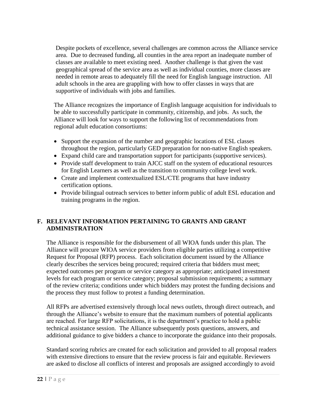Despite pockets of excellence, several challenges are common across the Alliance service area. Due to decreased funding, all counties in the area report an inadequate number of classes are available to meet existing need. Another challenge is that given the vast geographical spread of the service area as well as individual counties, more classes are needed in remote areas to adequately fill the need for English language instruction. All adult schools in the area are grappling with how to offer classes in ways that are supportive of individuals with jobs and families.

The Alliance recognizes the importance of English language acquisition for individuals to be able to successfully participate in community, citizenship, and jobs. As such, the Alliance will look for ways to support the following list of recommendations from regional adult education consortiums:

- Support the expansion of the number and geographic locations of ESL classes throughout the region, particularly GED preparation for non-native English speakers.
- Expand child care and transportation support for participants (supportive services).
- Provide staff development to train AJCC staff on the system of educational resources for English Learners as well as the transition to community college level work.
- Create and implement contextualized ESL/CTE programs that have industry certification options.
- Provide bilingual outreach services to better inform public of adult ESL education and training programs in the region.

# **F. RELEVANT INFORMATION PERTAINING TO GRANTS AND GRANT ADMINISTRATION**

The Alliance is responsible for the disbursement of all WIOA funds under this plan. The Alliance will procure WIOA service providers from eligible parties utilizing a competitive Request for Proposal (RFP) process. Each solicitation document issued by the Alliance clearly describes the services being procured; required criteria that bidders must meet; expected outcomes per program or service category as appropriate; anticipated investment levels for each program or service category; proposal submission requirements; a summary of the review criteria; conditions under which bidders may protest the funding decisions and the process they must follow to protest a funding determination.

All RFPs are advertised extensively through local news outlets, through direct outreach, and through the Alliance's website to ensure that the maximum numbers of potential applicants are reached. For large RFP solicitations, it is the department's practice to hold a public technical assistance session. The Alliance subsequently posts questions, answers, and additional guidance to give bidders a chance to incorporate the guidance into their proposals.

Standard scoring rubrics are created for each solicitation and provided to all proposal readers with extensive directions to ensure that the review process is fair and equitable. Reviewers are asked to disclose all conflicts of interest and proposals are assigned accordingly to avoid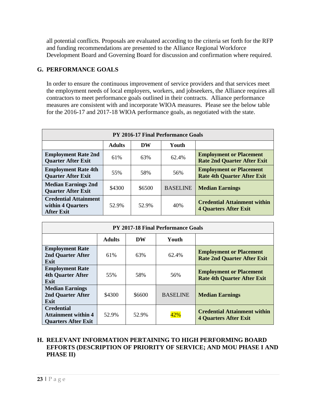all potential conflicts. Proposals are evaluated according to the criteria set forth for the RFP and funding recommendations are presented to the Alliance Regional Workforce Development Board and Governing Board for discussion and confirmation where required.

## **G. PERFORMANCE GOALS**

In order to ensure the continuous improvement of service providers and that services meet the employment needs of local employers, workers, and jobseekers, the Alliance requires all contractors to meet performance goals outlined in their contracts. Alliance performance measures are consistent with and incorporate WIOA measures. Please see the below table for the 2016-17 and 2017-18 WIOA performance goals, as negotiated with the state.

| <b>PY 2016-17 Final Performance Goals</b>                              |               |           |                 |                                                                      |  |  |  |  |  |
|------------------------------------------------------------------------|---------------|-----------|-----------------|----------------------------------------------------------------------|--|--|--|--|--|
|                                                                        | <b>Adults</b> | <b>DW</b> | Youth           |                                                                      |  |  |  |  |  |
| <b>Employment Rate 2nd</b><br><b>Quarter After Exit</b>                | 61%           | 63%       | 62.4%           | <b>Employment or Placement</b><br><b>Rate 2nd Quarter After Exit</b> |  |  |  |  |  |
| <b>Employment Rate 4th</b><br><b>Quarter After Exit</b>                | 55%           | 58%       | 56%             | <b>Employment or Placement</b><br><b>Rate 4th Quarter After Exit</b> |  |  |  |  |  |
| <b>Median Earnings 2nd</b><br><b>Quarter After Exit</b>                | \$4300        | \$6500    | <b>BASELINE</b> | <b>Median Earnings</b>                                               |  |  |  |  |  |
| <b>Credential Attainment</b><br>within 4 Quarters<br><b>After Exit</b> | 52.9%         | 52.9%     | 40%             | <b>Credential Attainment within</b><br><b>4 Quarters After Exit</b>  |  |  |  |  |  |

| <b>PY 2017-18 Final Performance Goals</b>                                     |               |        |                 |                                                                      |  |  |  |  |
|-------------------------------------------------------------------------------|---------------|--------|-----------------|----------------------------------------------------------------------|--|--|--|--|
|                                                                               | <b>Adults</b> | DW     | Youth           |                                                                      |  |  |  |  |
| <b>Employment Rate</b><br>2nd Quarter After<br>Exit                           | 61%           | 63%    | 62.4%           | <b>Employment or Placement</b><br><b>Rate 2nd Quarter After Exit</b> |  |  |  |  |
| <b>Employment Rate</b><br><b>4th Quarter After</b><br>Exit                    | 55%           | 58%    | 56%             | <b>Employment or Placement</b><br><b>Rate 4th Quarter After Exit</b> |  |  |  |  |
| <b>Median Earnings</b><br>2nd Quarter After<br>Exit                           | \$4300        | \$6600 | <b>BASELINE</b> | <b>Median Earnings</b>                                               |  |  |  |  |
| <b>Credential</b><br><b>Attainment within 4</b><br><b>Quarters After Exit</b> | 52.9%         | 52.9%  |                 | <b>Credential Attainment within</b><br><b>4 Quarters After Exit</b>  |  |  |  |  |

#### **H. RELEVANT INFORMATION PERTAINING TO HIGH PERFORMING BOARD EFFORTS (DESCRIPTION OF PRIORITY OF SERVICE; AND MOU PHASE I AND PHASE II)**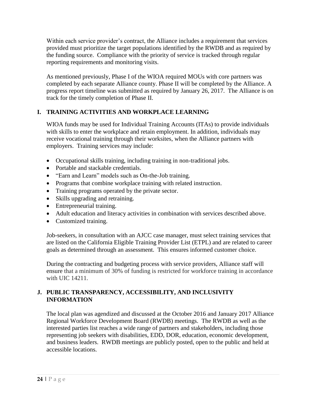Within each service provider's contract, the Alliance includes a requirement that services provided must prioritize the target populations identified by the RWDB and as required by the funding source. Compliance with the priority of service is tracked through regular reporting requirements and monitoring visits.

As mentioned previously, Phase I of the WIOA required MOUs with core partners was completed by each separate Alliance county. Phase II will be completed by the Alliance. A progress report timeline was submitted as required by January 26, 2017. The Alliance is on track for the timely completion of Phase II.

# **I. TRAINING ACTIVITIES AND WORKPLACE LEARNING**

WIOA funds may be used for Individual Training Accounts (ITAs) to provide individuals with skills to enter the workplace and retain employment. In addition, individuals may receive vocational training through their worksites, when the Alliance partners with employers. Training services may include:

- Occupational skills training, including training in non-traditional jobs.
- Portable and stackable credentials.
- "Earn and Learn" models such as On-the-Job training.
- Programs that combine workplace training with related instruction.
- Training programs operated by the private sector.
- Skills upgrading and retraining.
- Entrepreneurial training.
- Adult education and literacy activities in combination with services described above.
- Customized training.

Job-seekers, in consultation with an AJCC case manager, must select training services that are listed on the California Eligible Training Provider List (ETPL) and are related to career goals as determined through an assessment. This ensures informed customer choice.

During the contracting and budgeting process with service providers, Alliance staff will ensure that a minimum of 30% of funding is restricted for workforce training in accordance with UIC 14211.

# **J. PUBLIC TRANSPARENCY, ACCESSIBILITY, AND INCLUSIVITY INFORMATION**

The local plan was agendized and discussed at the October 2016 and January 2017 Alliance Regional Workforce Development Board (RWDB) meetings. The RWDB as well as the interested parties list reaches a wide range of partners and stakeholders, including those representing job seekers with disabilities, EDD, DOR, education, economic development, and business leaders. RWDB meetings are publicly posted, open to the public and held at accessible locations.